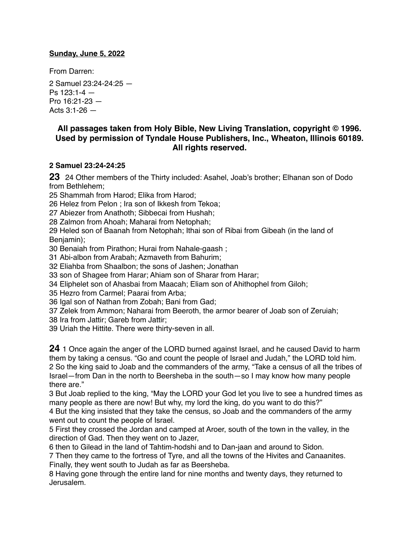#### **Sunday, June 5, 2022**

From Darren:

2 Samuel 23:24-24:25 — Ps  $123:1-4$  – Pro 16:21-23 — Acts  $3:1 - 26$  —

## **All passages taken from Holy Bible, [New Living Translation](http://www.newlivingtranslation.com/), copyright © 1996. Used by permission of [Tyndale House Publishers](http://tyndale.com/), Inc., Wheaton, Illinois 60189. All rights reserved.**

# **2 Samuel 23:24-24:25**

**23** 24 Other members of the Thirty included: Asahel, Joab's brother; Elhanan son of Dodo from Bethlehem;

25 Shammah from Harod; Elika from Harod;

26 Helez from Pelon ; Ira son of Ikkesh from Tekoa;

27 Abiezer from Anathoth; Sibbecai from Hushah;

28 Zalmon from Ahoah; Maharai from Netophah;

29 Heled son of Baanah from Netophah; Ithai son of Ribai from Gibeah (in the land of Benjamin);

30 Benaiah from Pirathon; Hurai from Nahale-gaash ;

31 Abi-albon from Arabah; Azmaveth from Bahurim;

32 Eliahba from Shaalbon; the sons of Jashen; Jonathan

33 son of Shagee from Harar; Ahiam son of Sharar from Harar;

34 Eliphelet son of Ahasbai from Maacah; Eliam son of Ahithophel from Giloh;

35 Hezro from Carmel; Paarai from Arba;

36 Igal son of Nathan from Zobah; Bani from Gad;

37 Zelek from Ammon; Naharai from Beeroth, the armor bearer of Joab son of Zeruiah;

38 Ira from Jattir; Gareb from Jattir;

39 Uriah the Hittite. There were thirty-seven in all.

**24** 1 Once again the anger of the LORD burned against Israel, and he caused David to harm them by taking a census. "Go and count the people of Israel and Judah," the LORD told him. 2 So the king said to Joab and the commanders of the army, "Take a census of all the tribes of Israel—from Dan in the north to Beersheba in the south—so I may know how many people there are."

3 But Joab replied to the king, "May the LORD your God let you live to see a hundred times as many people as there are now! But why, my lord the king, do you want to do this?"

4 But the king insisted that they take the census, so Joab and the commanders of the army went out to count the people of Israel.

5 First they crossed the Jordan and camped at Aroer, south of the town in the valley, in the direction of Gad. Then they went on to Jazer,

6 then to Gilead in the land of Tahtim-hodshi and to Dan-jaan and around to Sidon.

7 Then they came to the fortress of Tyre, and all the towns of the Hivites and Canaanites. Finally, they went south to Judah as far as Beersheba.

8 Having gone through the entire land for nine months and twenty days, they returned to Jerusalem.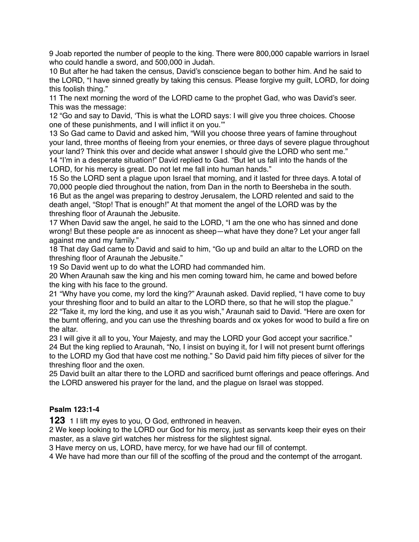9 Joab reported the number of people to the king. There were 800,000 capable warriors in Israel who could handle a sword, and 500,000 in Judah.

10 But after he had taken the census, David's conscience began to bother him. And he said to the LORD, "I have sinned greatly by taking this census. Please forgive my guilt, LORD, for doing this foolish thing."

11 The next morning the word of the LORD came to the prophet Gad, who was David's seer. This was the message:

12 "Go and say to David, 'This is what the LORD says: I will give you three choices. Choose one of these punishments, and I will inflict it on you.'"

13 So Gad came to David and asked him, "Will you choose three years of famine throughout your land, three months of fleeing from your enemies, or three days of severe plague throughout your land? Think this over and decide what answer I should give the LORD who sent me." 14 "I'm in a desperate situation!" David replied to Gad. "But let us fall into the hands of the LORD, for his mercy is great. Do not let me fall into human hands."

15 So the LORD sent a plague upon Israel that morning, and it lasted for three days. A total of 70,000 people died throughout the nation, from Dan in the north to Beersheba in the south. 16 But as the angel was preparing to destroy Jerusalem, the LORD relented and said to the death angel, "Stop! That is enough!" At that moment the angel of the LORD was by the threshing floor of Araunah the Jebusite.

17 When David saw the angel, he said to the LORD, "I am the one who has sinned and done wrong! But these people are as innocent as sheep—what have they done? Let your anger fall against me and my family."

18 That day Gad came to David and said to him, "Go up and build an altar to the LORD on the threshing floor of Araunah the Jebusite."

19 So David went up to do what the LORD had commanded him.

20 When Araunah saw the king and his men coming toward him, he came and bowed before the king with his face to the ground.

21 "Why have you come, my lord the king?" Araunah asked. David replied, "I have come to buy your threshing floor and to build an altar to the LORD there, so that he will stop the plague." 22 "Take it, my lord the king, and use it as you wish," Araunah said to David. "Here are oxen for the burnt offering, and you can use the threshing boards and ox yokes for wood to build a fire on the altar.

23 I will give it all to you, Your Majesty, and may the LORD your God accept your sacrifice." 24 But the king replied to Araunah, "No, I insist on buying it, for I will not present burnt offerings to the LORD my God that have cost me nothing." So David paid him fifty pieces of silver for the threshing floor and the oxen.

25 David built an altar there to the LORD and sacrificed burnt offerings and peace offerings. And the LORD answered his prayer for the land, and the plague on Israel was stopped.

## **Psalm 123:1-4**

**123** 1 I lift my eyes to you, O God, enthroned in heaven.

2 We keep looking to the LORD our God for his mercy, just as servants keep their eyes on their master, as a slave girl watches her mistress for the slightest signal.

3 Have mercy on us, LORD, have mercy, for we have had our fill of contempt.

4 We have had more than our fill of the scoffing of the proud and the contempt of the arrogant.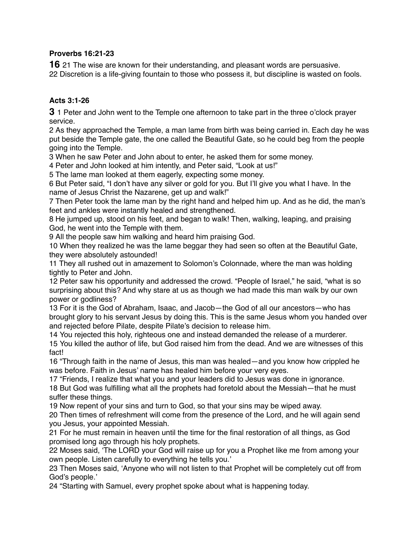#### **Proverbs 16:21-23**

**16** 21 The wise are known for their understanding, and pleasant words are persuasive. 22 Discretion is a life-giving fountain to those who possess it, but discipline is wasted on fools.

# **Acts 3:1-26**

**3** 1 Peter and John went to the Temple one afternoon to take part in the three o'clock prayer service.

2 As they approached the Temple, a man lame from birth was being carried in. Each day he was put beside the Temple gate, the one called the Beautiful Gate, so he could beg from the people going into the Temple.

3 When he saw Peter and John about to enter, he asked them for some money.

4 Peter and John looked at him intently, and Peter said, "Look at us!"

5 The lame man looked at them eagerly, expecting some money.

6 But Peter said, "I don't have any silver or gold for you. But I'll give you what I have. In the name of Jesus Christ the Nazarene, get up and walk!"

7 Then Peter took the lame man by the right hand and helped him up. And as he did, the man's feet and ankles were instantly healed and strengthened.

8 He jumped up, stood on his feet, and began to walk! Then, walking, leaping, and praising God, he went into the Temple with them.

9 All the people saw him walking and heard him praising God.

10 When they realized he was the lame beggar they had seen so often at the Beautiful Gate, they were absolutely astounded!

11 They all rushed out in amazement to Solomon's Colonnade, where the man was holding tightly to Peter and John.

12 Peter saw his opportunity and addressed the crowd. "People of Israel," he said, "what is so surprising about this? And why stare at us as though we had made this man walk by our own power or godliness?

13 For it is the God of Abraham, Isaac, and Jacob—the God of all our ancestors—who has brought glory to his servant Jesus by doing this. This is the same Jesus whom you handed over and rejected before Pilate, despite Pilate's decision to release him.

14 You rejected this holy, righteous one and instead demanded the release of a murderer. 15 You killed the author of life, but God raised him from the dead. And we are witnesses of this fact!

16 "Through faith in the name of Jesus, this man was healed—and you know how crippled he was before. Faith in Jesus' name has healed him before your very eyes.

17 "Friends, I realize that what you and your leaders did to Jesus was done in ignorance.

18 But God was fulfilling what all the prophets had foretold about the Messiah—that he must suffer these things.

19 Now repent of your sins and turn to God, so that your sins may be wiped away.

20 Then times of refreshment will come from the presence of the Lord, and he will again send you Jesus, your appointed Messiah.

21 For he must remain in heaven until the time for the final restoration of all things, as God promised long ago through his holy prophets.

22 Moses said, 'The LORD your God will raise up for you a Prophet like me from among your own people. Listen carefully to everything he tells you.'

23 Then Moses said, 'Anyone who will not listen to that Prophet will be completely cut off from God's people.'

24 "Starting with Samuel, every prophet spoke about what is happening today.